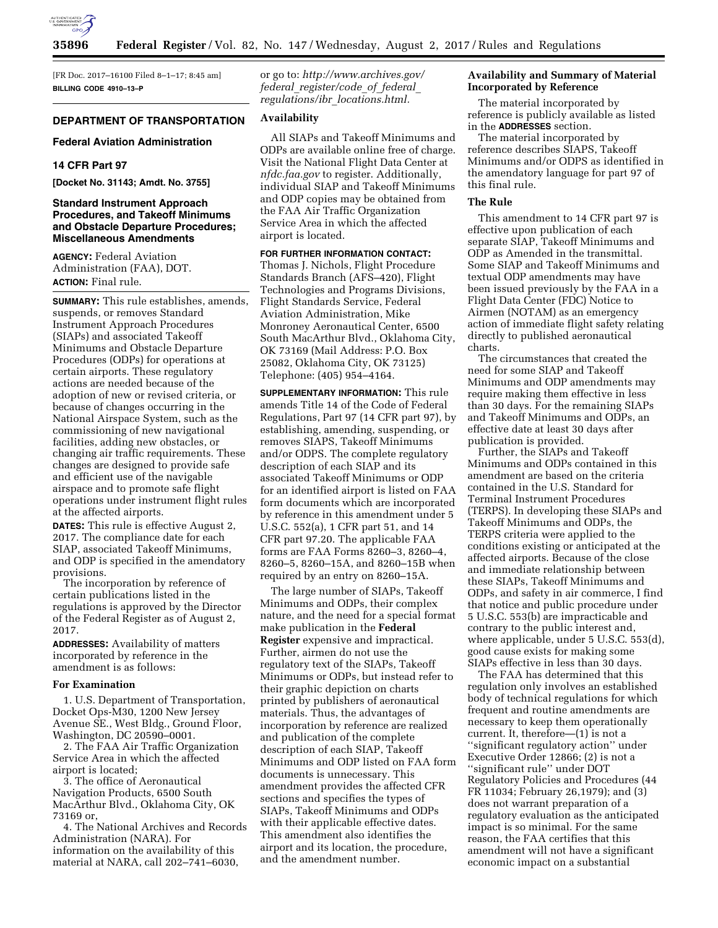

[FR Doc. 2017–16100 Filed 8–1–17; 8:45 am] **BILLING CODE 4910–13–P** 

#### **DEPARTMENT OF TRANSPORTATION**

#### **Federal Aviation Administration**

#### **14 CFR Part 97**

**[Docket No. 31143; Amdt. No. 3755]** 

# **Standard Instrument Approach Procedures, and Takeoff Minimums and Obstacle Departure Procedures; Miscellaneous Amendments**

**AGENCY:** Federal Aviation Administration (FAA), DOT. **ACTION:** Final rule.

**SUMMARY:** This rule establishes, amends, suspends, or removes Standard Instrument Approach Procedures (SIAPs) and associated Takeoff Minimums and Obstacle Departure Procedures (ODPs) for operations at certain airports. These regulatory actions are needed because of the adoption of new or revised criteria, or because of changes occurring in the National Airspace System, such as the commissioning of new navigational facilities, adding new obstacles, or changing air traffic requirements. These changes are designed to provide safe and efficient use of the navigable airspace and to promote safe flight operations under instrument flight rules at the affected airports.

**DATES:** This rule is effective August 2, 2017. The compliance date for each SIAP, associated Takeoff Minimums, and ODP is specified in the amendatory provisions.

The incorporation by reference of certain publications listed in the regulations is approved by the Director of the Federal Register as of August 2, 2017.

**ADDRESSES:** Availability of matters incorporated by reference in the amendment is as follows:

#### **For Examination**

1. U.S. Department of Transportation, Docket Ops-M30, 1200 New Jersey Avenue SE., West Bldg., Ground Floor, Washington, DC 20590–0001.

2. The FAA Air Traffic Organization Service Area in which the affected airport is located;

3. The office of Aeronautical Navigation Products, 6500 South MacArthur Blvd., Oklahoma City, OK 73169 or,

4. The National Archives and Records Administration (NARA). For information on the availability of this material at NARA, call 202–741–6030,

or go to: *[http://www.archives.gov/](http://www.archives.gov/federal_register/code_of_federal_regulations/ibr_locations.html) federal*\_*[register/code](http://www.archives.gov/federal_register/code_of_federal_regulations/ibr_locations.html)*\_*of*\_*federal*\_ *regulations/ibr*\_*[locations.html.](http://www.archives.gov/federal_register/code_of_federal_regulations/ibr_locations.html)* 

# **Availability**

All SIAPs and Takeoff Minimums and ODPs are available online free of charge. Visit the National Flight Data Center at *nfdc.faa.gov* to register. Additionally, individual SIAP and Takeoff Minimums and ODP copies may be obtained from the FAA Air Traffic Organization Service Area in which the affected airport is located.

#### **FOR FURTHER INFORMATION CONTACT:**

Thomas J. Nichols, Flight Procedure Standards Branch (AFS–420), Flight Technologies and Programs Divisions, Flight Standards Service, Federal Aviation Administration, Mike Monroney Aeronautical Center, 6500 South MacArthur Blvd., Oklahoma City, OK 73169 (Mail Address: P.O. Box 25082, Oklahoma City, OK 73125) Telephone: (405) 954–4164.

**SUPPLEMENTARY INFORMATION:** This rule amends Title 14 of the Code of Federal Regulations, Part 97 (14 CFR part 97), by establishing, amending, suspending, or removes SIAPS, Takeoff Minimums and/or ODPS. The complete regulatory description of each SIAP and its associated Takeoff Minimums or ODP for an identified airport is listed on FAA form documents which are incorporated by reference in this amendment under 5 U.S.C. 552(a), 1 CFR part 51, and 14 CFR part 97.20. The applicable FAA forms are FAA Forms 8260–3, 8260–4, 8260–5, 8260–15A, and 8260–15B when required by an entry on 8260–15A.

The large number of SIAPs, Takeoff Minimums and ODPs, their complex nature, and the need for a special format make publication in the **Federal Register** expensive and impractical. Further, airmen do not use the regulatory text of the SIAPs, Takeoff Minimums or ODPs, but instead refer to their graphic depiction on charts printed by publishers of aeronautical materials. Thus, the advantages of incorporation by reference are realized and publication of the complete description of each SIAP, Takeoff Minimums and ODP listed on FAA form documents is unnecessary. This amendment provides the affected CFR sections and specifies the types of SIAPs, Takeoff Minimums and ODPs with their applicable effective dates. This amendment also identifies the airport and its location, the procedure, and the amendment number.

# **Availability and Summary of Material Incorporated by Reference**

The material incorporated by reference is publicly available as listed in the **ADDRESSES** section.

The material incorporated by reference describes SIAPS, Takeoff Minimums and/or ODPS as identified in the amendatory language for part 97 of this final rule.

# **The Rule**

This amendment to 14 CFR part 97 is effective upon publication of each separate SIAP, Takeoff Minimums and ODP as Amended in the transmittal. Some SIAP and Takeoff Minimums and textual ODP amendments may have been issued previously by the FAA in a Flight Data Center (FDC) Notice to Airmen (NOTAM) as an emergency action of immediate flight safety relating directly to published aeronautical charts.

The circumstances that created the need for some SIAP and Takeoff Minimums and ODP amendments may require making them effective in less than 30 days. For the remaining SIAPs and Takeoff Minimums and ODPs, an effective date at least 30 days after publication is provided.

Further, the SIAPs and Takeoff Minimums and ODPs contained in this amendment are based on the criteria contained in the U.S. Standard for Terminal Instrument Procedures (TERPS). In developing these SIAPs and Takeoff Minimums and ODPs, the TERPS criteria were applied to the conditions existing or anticipated at the affected airports. Because of the close and immediate relationship between these SIAPs, Takeoff Minimums and ODPs, and safety in air commerce, I find that notice and public procedure under 5 U.S.C. 553(b) are impracticable and contrary to the public interest and, where applicable, under 5 U.S.C. 553(d), good cause exists for making some SIAPs effective in less than 30 days.

The FAA has determined that this regulation only involves an established body of technical regulations for which frequent and routine amendments are necessary to keep them operationally current. It, therefore—(1) is not a ''significant regulatory action'' under Executive Order 12866; (2) is not a ''significant rule'' under DOT Regulatory Policies and Procedures (44 FR 11034; February 26,1979); and (3) does not warrant preparation of a regulatory evaluation as the anticipated impact is so minimal. For the same reason, the FAA certifies that this amendment will not have a significant economic impact on a substantial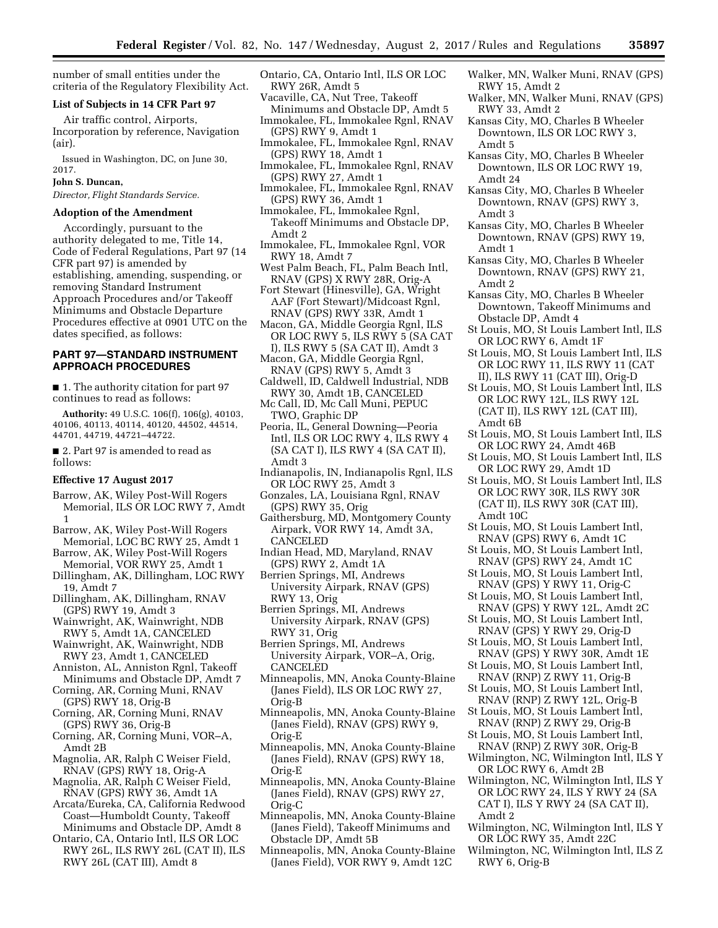number of small entities under the criteria of the Regulatory Flexibility Act.

## **List of Subjects in 14 CFR Part 97**

Air traffic control, Airports, Incorporation by reference, Navigation (air).

Issued in Washington, DC, on June 30, 2017.

## **John S. Duncan,**

*Director, Flight Standards Service.* 

## **Adoption of the Amendment**

Accordingly, pursuant to the authority delegated to me, Title 14, Code of Federal Regulations, Part 97 (14 CFR part 97) is amended by establishing, amending, suspending, or removing Standard Instrument Approach Procedures and/or Takeoff Minimums and Obstacle Departure Procedures effective at 0901 UTC on the dates specified, as follows:

# **PART 97—STANDARD INSTRUMENT APPROACH PROCEDURES**

■ 1. The authority citation for part 97 continues to read as follows:

**Authority:** 49 U.S.C. 106(f), 106(g), 40103, 40106, 40113, 40114, 40120, 44502, 44514, 44701, 44719, 44721–44722.

■ 2. Part 97 is amended to read as follows:

### **Effective 17 August 2017**

- Barrow, AK, Wiley Post-Will Rogers Memorial, ILS OR LOC RWY 7, Amdt 1
- Barrow, AK, Wiley Post-Will Rogers
- Memorial, LOC BC RWY 25, Amdt 1 Barrow, AK, Wiley Post-Will Rogers
- Memorial, VOR RWY 25, Amdt 1 Dillingham, AK, Dillingham, LOC RWY
- 19, Amdt 7 Dillingham, AK, Dillingham, RNAV (GPS) RWY 19, Amdt 3
- Wainwright, AK, Wainwright, NDB RWY 5, Amdt 1A, CANCELED
- Wainwright, AK, Wainwright, NDB RWY 23, Amdt 1, CANCELED
- Anniston, AL, Anniston Rgnl, Takeoff
- Minimums and Obstacle DP, Amdt 7 Corning, AR, Corning Muni, RNAV
- (GPS) RWY 18, Orig-B Corning, AR, Corning Muni, RNAV (GPS) RWY 36, Orig-B
- Corning, AR, Corning Muni, VOR–A, Amdt 2B
- Magnolia, AR, Ralph C Weiser Field, RNAV (GPS) RWY 18, Orig-A
- Magnolia, AR, Ralph C Weiser Field, RNAV (GPS) RWY 36, Amdt 1A
- Arcata/Eureka, CA, California Redwood Coast—Humboldt County, Takeoff Minimums and Obstacle DP, Amdt 8
- Ontario, CA, Ontario Intl, ILS OR LOC RWY 26L, ILS RWY 26L (CAT II), ILS RWY 26L (CAT III), Amdt 8
- Ontario, CA, Ontario Intl, ILS OR LOC RWY 26R, Amdt 5
- Vacaville, CA, Nut Tree, Takeoff
- Minimums and Obstacle DP, Amdt 5 Immokalee, FL, Immokalee Rgnl, RNAV (GPS) RWY 9, Amdt 1
- Immokalee, FL, Immokalee Rgnl, RNAV (GPS) RWY 18, Amdt 1
- Immokalee, FL, Immokalee Rgnl, RNAV (GPS) RWY 27, Amdt 1
- Immokalee, FL, Immokalee Rgnl, RNAV (GPS) RWY 36, Amdt 1
- Immokalee, FL, Immokalee Rgnl, Takeoff Minimums and Obstacle DP, Amdt 2
- Immokalee, FL, Immokalee Rgnl, VOR RWY 18, Amdt 7
- West Palm Beach, FL, Palm Beach Intl, RNAV (GPS) X RWY 28R, Orig-A
- Fort Stewart (Hinesville), GA, Wright AAF (Fort Stewart)/Midcoast Rgnl, RNAV (GPS) RWY 33R, Amdt 1
- Macon, GA, Middle Georgia Rgnl, ILS OR LOC RWY 5, ILS RWY 5 (SA CAT I), ILS RWY 5 (SA CAT II), Amdt 3
- Macon, GA, Middle Georgia Rgnl, RNAV (GPS) RWY 5, Amdt 3
- Caldwell, ID, Caldwell Industrial, NDB RWY 30, Amdt 1B, CANCELED
- Mc Call, ID, Mc Call Muni, PEPUC TWO, Graphic DP
- Peoria, IL, General Downing—Peoria Intl, ILS OR LOC RWY 4, ILS RWY 4 (SA CAT I), ILS RWY 4 (SA CAT II), Amdt 3
- Indianapolis, IN, Indianapolis Rgnl, ILS OR LOC RWY 25, Amdt 3
- Gonzales, LA, Louisiana Rgnl, RNAV (GPS) RWY 35, Orig
- Gaithersburg, MD, Montgomery County Airpark, VOR RWY 14, Amdt 3A, CANCELED
- Indian Head, MD, Maryland, RNAV (GPS) RWY 2, Amdt 1A
- Berrien Springs, MI, Andrews University Airpark, RNAV (GPS) RWY 13, Orig
- Berrien Springs, MI, Andrews University Airpark, RNAV (GPS) RWY 31, Orig
- Berrien Springs, MI, Andrews University Airpark, VOR–A, Orig, CANCELED
- Minneapolis, MN, Anoka County-Blaine (Janes Field), ILS OR LOC RWY 27, Orig-B
- Minneapolis, MN, Anoka County-Blaine (Janes Field), RNAV (GPS) RWY 9, Orig-E
- Minneapolis, MN, Anoka County-Blaine (Janes Field), RNAV (GPS) RWY 18, Orig-E
- Minneapolis, MN, Anoka County-Blaine (Janes Field), RNAV (GPS) RWY 27, Orig-C
- Minneapolis, MN, Anoka County-Blaine (Janes Field), Takeoff Minimums and Obstacle DP, Amdt 5B
- Minneapolis, MN, Anoka County-Blaine (Janes Field), VOR RWY 9, Amdt 12C
- Walker, MN, Walker Muni, RNAV (GPS) RWY 15, Amdt 2
- Walker, MN, Walker Muni, RNAV (GPS) RWY 33, Amdt 2
- Kansas City, MO, Charles B Wheeler Downtown, ILS OR LOC RWY 3, Amdt 5
- Kansas City, MO, Charles B Wheeler Downtown, ILS OR LOC RWY 19, Amdt 24
- Kansas City, MO, Charles B Wheeler Downtown, RNAV (GPS) RWY 3, Amdt 3
- Kansas City, MO, Charles B Wheeler Downtown, RNAV (GPS) RWY 19, Amdt 1
- Kansas City, MO, Charles B Wheeler Downtown, RNAV (GPS) RWY 21, Amdt 2
- Kansas City, MO, Charles B Wheeler Downtown, Takeoff Minimums and Obstacle DP, Amdt 4
- St Louis, MO, St Louis Lambert Intl, ILS OR LOC RWY 6, Amdt 1F
- St Louis, MO, St Louis Lambert Intl, ILS OR LOC RWY 11, ILS RWY 11 (CAT II), ILS RWY 11 (CAT III), Orig-D
- St Louis, MO, St Louis Lambert Intl, ILS OR LOC RWY 12L, ILS RWY 12L (CAT II), ILS RWY 12L (CAT III), Amdt 6B
- St Louis, MO, St Louis Lambert Intl, ILS OR LOC RWY 24, Amdt 46B
- St Louis, MO, St Louis Lambert Intl, ILS OR LOC RWY 29, Amdt 1D
- St Louis, MO, St Louis Lambert Intl, ILS OR LOC RWY 30R, ILS RWY 30R (CAT II), ILS RWY 30R (CAT III), Amdt 10C
- St Louis, MO, St Louis Lambert Intl, RNAV (GPS) RWY 6, Amdt 1C
- St Louis, MO, St Louis Lambert Intl, RNAV (GPS) RWY 24, Amdt 1C
- St Louis, MO, St Louis Lambert Intl, RNAV (GPS) Y RWY 11, Orig-C
- St Louis, MO, St Louis Lambert Intl, RNAV (GPS) Y RWY 12L, Amdt 2C
- St Louis, MO, St Louis Lambert Intl, RNAV (GPS) Y RWY 29, Orig-D
- St Louis, MO, St Louis Lambert Intl, RNAV (GPS) Y RWY 30R, Amdt 1E
- St Louis, MO, St Louis Lambert Intl, RNAV (RNP) Z RWY 11, Orig-B
- St Louis, MO, St Louis Lambert Intl,
- RNAV (RNP) Z RWY 12L, Orig-B St Louis, MO, St Louis Lambert Intl,
- RNAV (RNP) Z RWY 29, Orig-B St Louis, MO, St Louis Lambert Intl,
- RNAV (RNP) Z RWY 30R, Orig-B
- Wilmington, NC, Wilmington Intl, ILS Y OR LOC RWY 6, Amdt 2B
- Wilmington, NC, Wilmington Intl, ILS Y OR LOC RWY 24, ILS Y RWY 24 (SA CAT I), ILS Y RWY 24 (SA CAT II), Amdt 2
- Wilmington, NC, Wilmington Intl, ILS Y OR LOC RWY 35, Amdt 22C
- Wilmington, NC, Wilmington Intl, ILS Z RWY 6, Orig-B